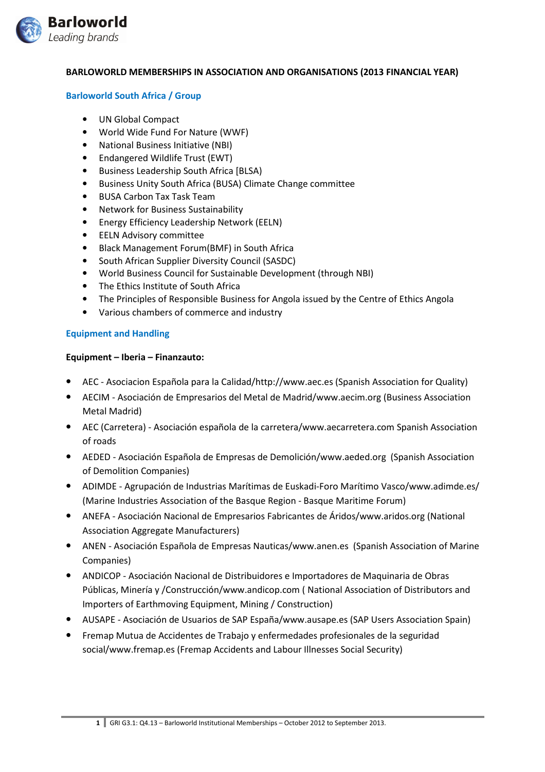

#### BARLOWORLD MEMBERSHIPS IN ASSOCIATION AND ORGANISATIONS (2013 FINANCIAL YEAR)

#### Barloworld South Africa / Group

- UN Global Compact
- World Wide Fund For Nature (WWF)
- National Business Initiative (NBI)
- Endangered Wildlife Trust (EWT)
- Business Leadership South Africa [BLSA)
- Business Unity South Africa (BUSA) Climate Change committee
- BUSA Carbon Tax Task Team
- Network for Business Sustainability
- Energy Efficiency Leadership Network (EELN)
- EELN Advisory committee
- Black Management Forum(BMF) in South Africa
- South African Supplier Diversity Council (SASDC)
- World Business Council for Sustainable Development (through NBI)
- The Ethics Institute of South Africa
- The Principles of Responsible Business for Angola issued by the Centre of Ethics Angola
- Various chambers of commerce and industry

# Equipment and Handling

#### Equipment – Iberia – Finanzauto:

- AEC Asociacion Española para la Calidad/http://www.aec.es (Spanish Association for Quality)
- AECIM Asociación de Empresarios del Metal de Madrid/www.aecim.org (Business Association Metal Madrid)
- AEC (Carretera) Asociación española de la carretera/www.aecarretera.com Spanish Association of roads
- AEDED Asociación Española de Empresas de Demolición/www.aeded.org (Spanish Association of Demolition Companies)
- ADIMDE Agrupación de Industrias Marítimas de Euskadi-Foro Marítimo Vasco/www.adimde.es/ (Marine Industries Association of the Basque Region - Basque Maritime Forum)
- ANEFA Asociación Nacional de Empresarios Fabricantes de Áridos/www.aridos.org (National Association Aggregate Manufacturers)
- ANEN Asociación Española de Empresas Nauticas/www.anen.es (Spanish Association of Marine Companies)
- ANDICOP Asociación Nacional de Distribuidores e Importadores de Maquinaria de Obras Públicas, Minería y /Construcción/www.andicop.com ( National Association of Distributors and Importers of Earthmoving Equipment, Mining / Construction)
- AUSAPE Asociación de Usuarios de SAP España/www.ausape.es (SAP Users Association Spain)
- Fremap Mutua de Accidentes de Trabajo y enfermedades profesionales de la seguridad social/www.fremap.es (Fremap Accidents and Labour Illnesses Social Security)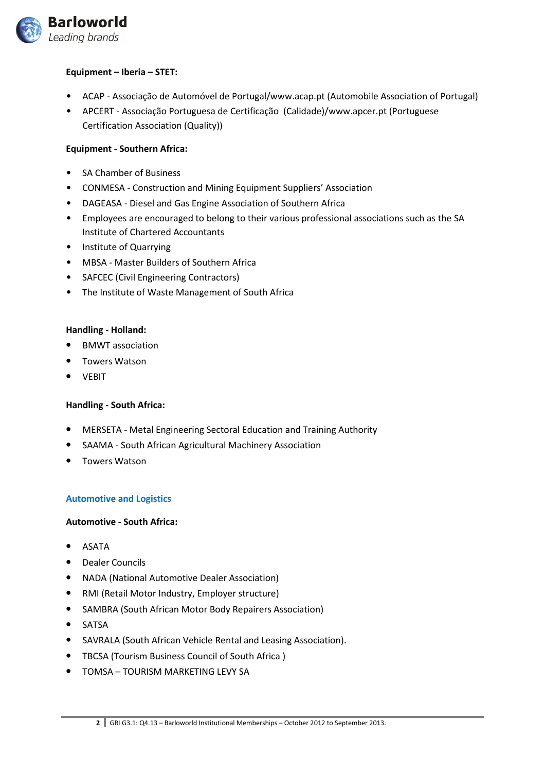

# Equipment – Iberia – STET:

- ACAP Associação de Automóvel de Portugal/www.acap.pt (Automobile Association of Portugal)
- APCERT Associação Portuguesa de Certificação (Calidade)/www.apcer.pt (Portuguese Certification Association (Quality))

# Equipment - Southern Africa:

- SA Chamber of Business
- CONMESA Construction and Mining Equipment Suppliers' Association
- DAGEASA Diesel and Gas Engine Association of Southern Africa
- Employees are encouraged to belong to their various professional associations such as the SA Institute of Chartered Accountants
- Institute of Quarrying
- MBSA Master Builders of Southern Africa
- SAFCEC (Civil Engineering Contractors)
- The Institute of Waste Management of South Africa

# Handling - Holland:

- BMWT association
- Towers Watson
- VEBIT

# Handling - South Africa:

- MERSETA Metal Engineering Sectoral Education and Training Authority
- SAAMA South African Agricultural Machinery Association
- Towers Watson

# Automotive and Logistics

# Automotive - South Africa:

- ASATA
- Dealer Councils
- NADA (National Automotive Dealer Association)
- RMI (Retail Motor Industry, Employer structure)
- SAMBRA (South African Motor Body Repairers Association)
- SATSA
- SAVRALA (South African Vehicle Rental and Leasing Association).
- TBCSA (Tourism Business Council of South Africa )
- TOMSA TOURISM MARKETING LEVY SA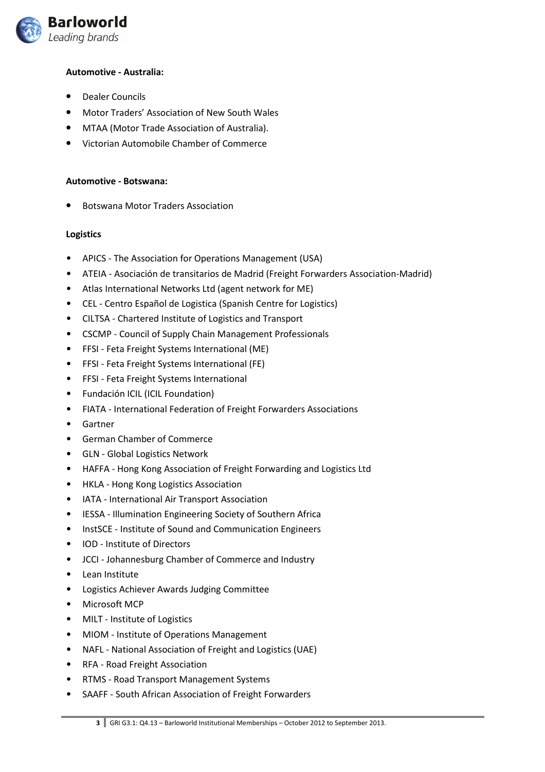

# Automotive - Australia:

- Dealer Councils
- Motor Traders' Association of New South Wales
- MTAA (Motor Trade Association of Australia).
- Victorian Automobile Chamber of Commerce

#### Automotive - Botswana:

• Botswana Motor Traders Association

# Logistics

- APICS The Association for Operations Management (USA)
- ATEIA Asociación de transitarios de Madrid (Freight Forwarders Association-Madrid)
- Atlas International Networks Ltd (agent network for ME)
- CEL Centro Español de Logistica (Spanish Centre for Logistics)
- CILTSA Chartered Institute of Logistics and Transport
- CSCMP Council of Supply Chain Management Professionals
- FFSI Feta Freight Systems International (ME)
- FFSI Feta Freight Systems International (FE)
- FFSI Feta Freight Systems International
- Fundación ICIL (ICIL Foundation)
- FIATA International Federation of Freight Forwarders Associations
- Gartner
- German Chamber of Commerce
- GLN Global Logistics Network
- HAFFA Hong Kong Association of Freight Forwarding and Logistics Ltd
- HKLA Hong Kong Logistics Association
- IATA International Air Transport Association
- IESSA Illumination Engineering Society of Southern Africa
- InstSCE Institute of Sound and Communication Engineers
- IOD Institute of Directors
- JCCI Johannesburg Chamber of Commerce and Industry
- Lean Institute
- Logistics Achiever Awards Judging Committee
- Microsoft MCP
- MILT Institute of Logistics
- MIOM Institute of Operations Management
- NAFL National Association of Freight and Logistics (UAE)
- RFA Road Freight Association
- RTMS Road Transport Management Systems
- SAAFF South African Association of Freight Forwarders